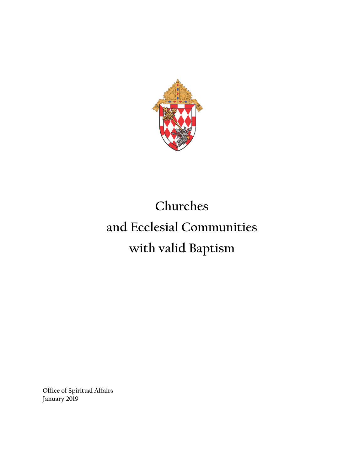

# **Churches and Ecclesial Communities with valid Baptism**

**Office of Spiritual Affairs January 2019**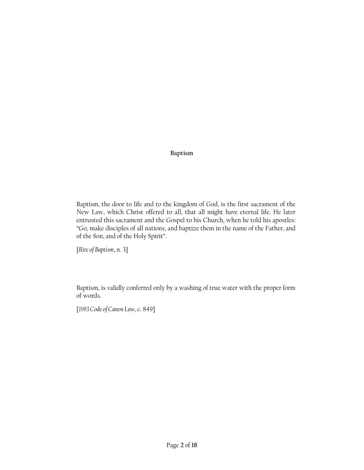# **Baptism**

Baptism, the door to life and to the kingdom of God, is the first sacrament of the New Law, which Christ offered to all, that all might have eternal life. He later entrusted this sacrament and the Gospel to his Church, when he told his apostles: "Go, make disciples of all nations, and baptize them in the name of the Father, and of the Son, and of the Holy Spirit".

[*Rite of Baptism*, n. 3]

Baptism, is validly conferred only by a washing of true water with the proper form of words.

[*1983 Code of Canon Law*, c. 849]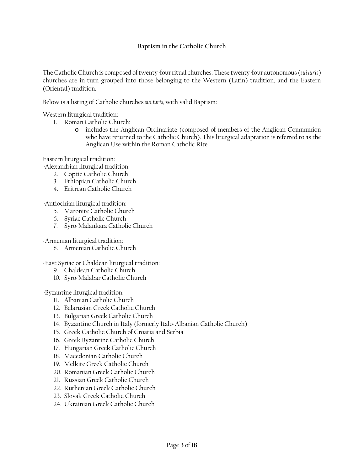## **Baptism in the Catholic Church**

The Catholic Church is composed of twenty-four ritual churches. These twenty-four autonomous (*sui iuris*) churches are in turn grouped into those belonging to the Western (Latin) tradition, and the Eastern (Oriental) tradition.

Below is a listing of Catholic churches *sui iuris,* with valid Baptism:

Western liturgical tradition:

- 1. Roman Catholic Church:
	- o includes the Anglican Ordinariate (composed of members of the Anglican Communion who have returned to the Catholic Church). This liturgical adaptation is referred to as the Anglican Use within the Roman Catholic Rite.

Eastern liturgical tradition:

-Alexandrian liturgical tradition:

- 2. Coptic Catholic Church
- 3. Ethiopian Catholic Church
- 4. Eritrean Catholic Church

-Antiochian liturgical tradition:

- 5. Maronite Catholic Church
- 6. Syriac Catholic Church
- 7. Syro-Malankara Catholic Church

-Armenian liturgical tradition:

8. Armenian Catholic Church

-East Syriac or Chaldean liturgical tradition:

- 9. Chaldean Catholic Church
- 10. Syro-Malabar Catholic Church

-Byzantine liturgical tradition:

- 11. Albanian Catholic Church
- 12. Belarusian Greek Catholic Church
- 13. Bulgarian Greek Catholic Church
- 14. Byzantine Church in Italy (formerly Italo-Albanian Catholic Church)
- 15. Greek Catholic Church of Croatia and Serbia
- 16. Greek Byzantine Catholic Church
- 17. Hungarian Greek Catholic Church
- 18. Macedonian Catholic Church
- 19. Melkite Greek Catholic Church
- 20. Romanian Greek Catholic Church
- 21. Russian Greek Catholic Church
- 22. Ruthenian Greek Catholic Church
- 23. Slovak Greek Catholic Church
- 24. Ukrainian Greek Catholic Church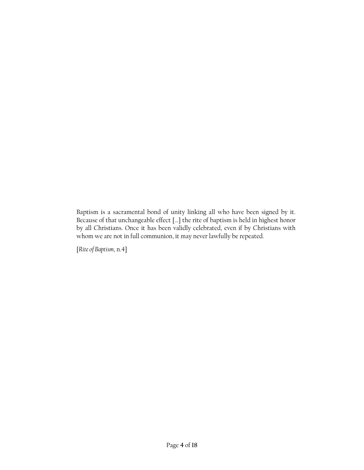Baptism is a sacramental bond of unity linking all who have been signed by it. Because of that unchangeable effect […] the rite of baptism is held in highest honor by all Christians. Once it has been validly celebrated, even if by Christians with whom we are not in full communion, it may never lawfully be repeated.

[*Rite of Baptism*, n.4]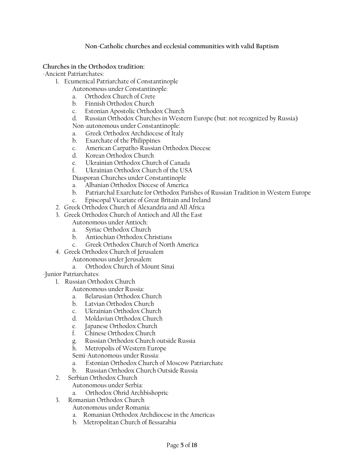## **Non-Catholic churches and ecclesial communities with valid Baptism**

### **Churches in the Orthodox tradition:**

-Ancient Patriarchates:

- 1. Ecumenical Patriarchate of Constantinople
	- Autonomous under Constantinople:
	- a. Orthodox Church of Crete
	- b. Finnish Orthodox Church
	- c. Estonian Apostolic Orthodox Church
	- Russian Orthodox Churches in Western Europe (but: not recognized by Russia)

Non-autonomous under Constantinople:

- a. Greek Orthodox Archdiocese of Italy
- b. Exarchate of the Philippines
- c. American Carpatho-Russian Orthodox Diocese
- d. Korean Orthodox Church
- e. Ukrainian Orthodox Church of Canada
- f. Ukrainian Orthodox Church of the USA

Diasporan Churches under Constantinople

- a. Albanian Orthodox Diocese of America
- b. Patriarchal Exarchate for Orthodox Parishes of Russian Tradition in Western Europe
- c. Episcopal Vicariate of Great Britain and Ireland
- 2. Greek Orthodox Church of Alexandria and All Africa
- 3. Greek Orthodox Church of Antioch and All the East
	- Autonomous under Antioch:
	- a. Syriac Orthodox Church
	- b. Antiochian Orthodox Christians
	- c. Greek Orthodox Church of North America
- 4. Greek Orthodox Church of Jerusalem
	- Autonomous under Jerusalem:
	- a. Orthodox Church of Mount Sinai

-Junior Patriarchates:

- 1. Russian Orthodox Church
	- Autonomous under Russia:
	- a. Belarusian Orthodox Church
	- b. Latvian Orthodox Church
	- c. Ukrainian Orthodox Church
	- d. Moldavian Orthodox Church
	- e. Japanese Orthodox Church
	- f. Chinese Orthodox Church
	- g. Russian Orthodox Church outside Russia
	- h. Metropolis of Western Europe

Semi-Autonomous under Russia:

- a. Estonian Orthodox Church of Moscow Patriarchate
- b. Russian Orthodox Church Outside Russia
- 2. Serbian Orthodox Church
	- Autonomous under Serbia:
	- a. Orthodox Ohrid Archbishopric
- 3. Romanian Orthodox Church
	- Autonomous under Romania:
	- a. Romanian Orthodox Archdiocese in the Americas
	- b. Metropolitan Church of Bessarabia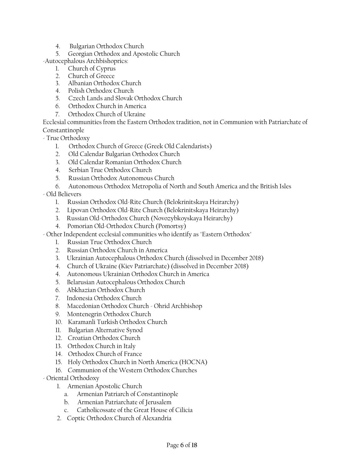- 4. Bulgarian Orthodox Church
- 5. Georgian Orthodox and Apostolic Church
- -Autocephalous Archbishoprics:
	- 1. Church of Cyprus
	- 2. Church of Greece
	- 3. Albanian Orthodox Church
	- 4. Polish Orthodox Church
	- 5. Czech Lands and Slovak Orthodox Church
	- 6. Orthodox Church in America
	- 7. Orthodox Church of Ukraine

Ecclesial communities from the Eastern Orthodox tradition, not in Communion with Patriarchate of Constantinople

- True Orthodoxy
	- 1. Orthodox Church of Greece (Greek Old Calendarists)
	- 2. Old Calendar Bulgarian Orthodox Church
	- 3. Old Calendar Romanian Orthodox Church
	- 4. Serbian True Orthodox Church
	- 5. Russian Orthodox Autonomous Church
	- 6. Autonomous Orthodox Metropolia of North and South America and the British Isles
- Old Believers
	- 1. Russian Orthodox Old-Rite Church (Belokrinitskaya Heirarchy)
	- 2. Lipovan Orthodox Old-Rite Church (Belokrinitskaya Heirarchy)
	- 3. Russian Old-Orthodox Church (Novozybkoyskaya Heirarchy)
	- 4. Pomorian Old-Orthodox Church (Pomortsy)
- Other Independent ecclesial communities who identify as "Eastern Orthodox"
	- 1. Russian True Orthodox Church
	- 2. Russian Orthodox Church in America
	- 3. Ukrainian Autocephalous Orthodox Church (dissolved in December 2018)
	- 4. Church of Ukraine (Kiev Patriarchate) (dissolved in December 2018)
	- 4. Autonomous Ukrainian Orthodox Church in America
	- 5. Belarusian Autocephalous Orthodox Church
	- 6. Abkhazian Orthodox Church
	- 7. Indonesia Orthodox Church
	- 8. Macedonian Orthodox Church Ohrid Archbishop
	- 9. Montenegrin Orthodox Church
	- 10. Karamanli Turkish Orthodox Church
	- 11. Bulgarian Alternative Synod
	- 12. Croatian Orthodox Church
	- 13. Orthodox Church in Italy
	- 14. Orthodox Church of France
	- 15. Holy Orthodox Church in North America (HOCNA)
	- 16. Communion of the Western Orthodox Churches
- Oriental Orthodoxy
	- 1. Armenian Apostolic Church
		- a. Armenian Patriarch of Constantinople
		- b. Armenian Patriarchate of Jerusalem
		- c. Catholicossate of the Great House of Cilicia
	- 2. Coptic Orthodox Church of Alexandria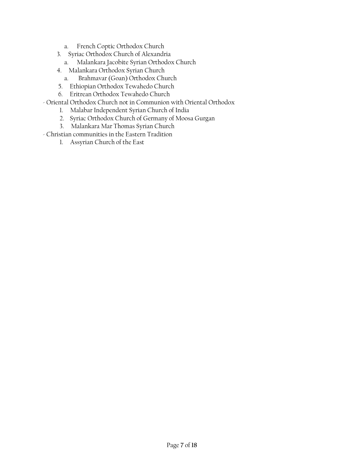- a. French Coptic Orthodox Church
- 3. Syriac Orthodox Church of Alexandria
	- a. Malankara Jacobite Syrian Orthodox Church
- 4. Malankara Orthodox Syrian Church
	- a. Brahmavar (Goan) Orthodox Church
- 5. Ethiopian Orthodox Tewahedo Church
- 6. Eritrean Orthodox Tewahedo Church
- Oriental Orthodox Church not in Communion with Oriental Orthodox
	- 1. Malabar Independent Syrian Church of India
	- 2. Syriac Orthodox Church of Germany of Moosa Gurgan
	- 3. Malankara Mar Thomas Syrian Church
- Christian communities in the Eastern Tradition
	- 1. Assyrian Church of the East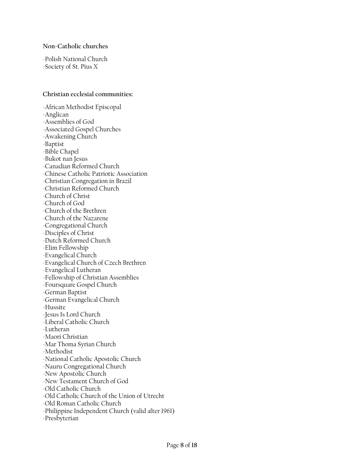#### **Non-Catholic churches**

-Polish National Church -Society of St. Pius X

#### **Christian ecclesial communities:**

-African Methodist Episcopal -Anglican -Assemblies of God -Associated Gospel Churches -Awakening Church -Baptist -Bible Chapel -Bukot nan Jesus -Canadian Reformed Church -Chinese Catholic Patriotic Association -Christian Congregation in Brazil -Christian Reformed Church -Church of Christ -Church of God -Church of the Brethren -Church of the Nazarene -Congregational Church -Disciples of Christ -Dutch Reformed Church -Elim Fellowship -Evangelical Church -Evangelical Church of Czech Brethren -Evangelical Lutheran -Fellowship of Christian Assemblies -Foursquare Gospel Church -German Baptist -German Evangelical Church -Hussite -Jesus Is Lord Church -Liberal Catholic Church -Lutheran -Maori Christian -Mar Thoma Syrian Church -Methodist -National Catholic Apostolic Church -Nauru Congregational Church -New Apostolic Church -New Testament Church of God -Old Catholic Church -Old Catholic Church of the Union of Utrecht -Old Roman Catholic Church -Philippine Independent Church (valid after 1961) -Presbyterian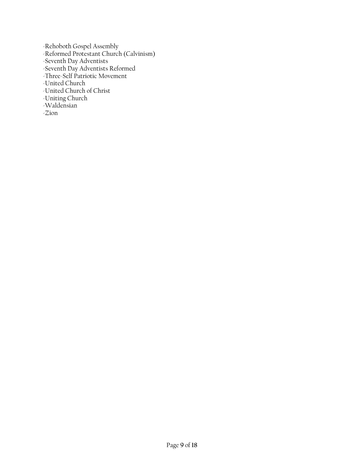-Rehoboth Gospel Assembly -Reformed Protestant Church (Calvinism) -Seventh Day Adventists -Seventh Day Adventists Reformed -Three-Self Patriotic Movement -United Church -United Church of Christ -Uniting Church -Waldensian -Zion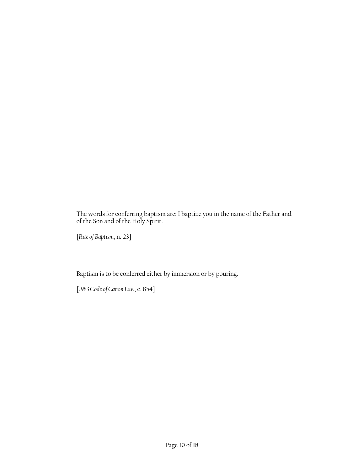The words for conferring baptism are: I baptize you in the name of the Father and of the Son and of the Holy Spirit.

[*Rite of Baptism*, n. 23]

Baptism is to be conferred either by immersion or by pouring.

[*1983 Code of Canon Law*, c. 854]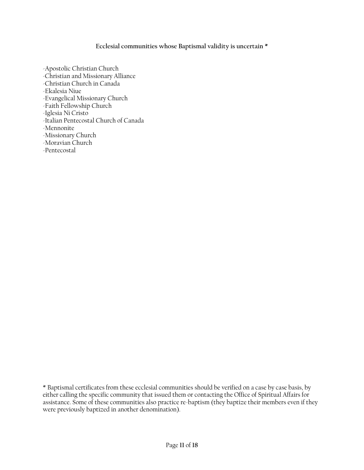## **Ecclesial communities whose Baptismal validity is uncertain \***

-Apostolic Christian Church -Christian and Missionary Alliance -Christian Church in Canada -Ekalesia Niue -Evangelical Missionary Church -Faith Fellowship Church -Iglesia Ni Cristo -Italian Pentecostal Church of Canada -Mennonite -Missionary Church -Moravian Church -Pentecostal

\* Baptismal certificates from these ecclesial communities should be verified on a case by case basis, by either calling the specific community that issued them or contacting the Office of Spiritual Affairs for assistance. Some of these communities also practice re-baptism (they baptize their members even if they were previously baptized in another denomination).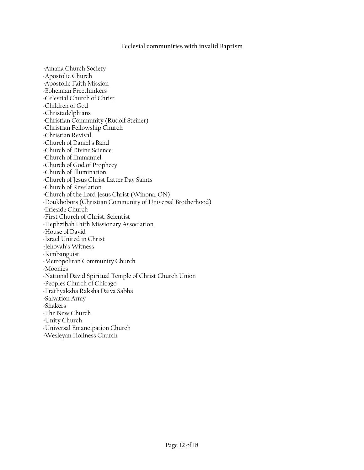#### **Ecclesial communities with invalid Baptism**

-Amana Church Society -Apostolic Church -Apostolic Faith Mission -Bohemian Freethinkers -Celestial Church of Christ -Children of God -Christadelphians -Christian Community (Rudolf Steiner) -Christian Fellowship Church -Christian Revival -Church of Daniel's Band -Church of Divine Science -Church of Emmanuel -Church of God of Prophecy -Church of Illumination -Church of Jesus Christ Latter Day Saints -Church of Revelation -Church of the Lord Jesus Christ (Winona, ON) -Doukhobors (Christian Community of Universal Brotherhood) -Erieside Church -First Church of Christ, Scientist -Hephzibah Faith Missionary Association -House of David -Israel United in Christ -Jehovah's Witness -Kimbanguist -Metropolitan Community Church -Moonies -National David Spiritual Temple of Christ Church Union -Peoples Church of Chicago -Prathyaksha Raksha Daiva Sabha -Salvation Army -Shakers -The New Church -Unity Church -Universal Emancipation Church -Wesleyan Holiness Church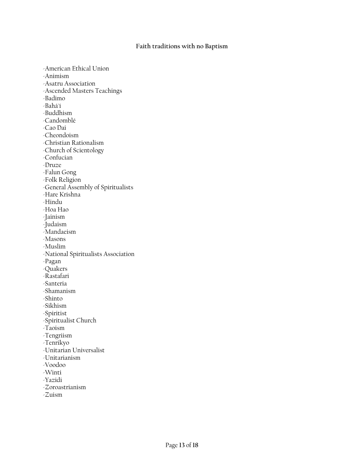#### **Faith traditions with no Baptism**

-American Ethical Union -Animism -Asatru Association -Ascended Masters Teachings -Badimo -Bahá'í -Buddhism -Candomblé -Cao Dai -Cheondoism -Christian Rationalism -Church of Scientology -Confucian -Druze -Falun Gong -Folk Religion -General Assembly of Spiritualists -Hare Krishna -Hindu -Hoa Hao -Jainism -Judaism -Mandaeism -Masons -Muslim -National Spiritualists Association -Pagan -Quakers -Rastafari -Santeria -Shamanism -Shinto -Sikhism -Spiritist -Spiritualist Church -Taoism -Tengriism -Tenrikyo -Unitarian Universalist -Unitarianism -Voodoo -Winti -Yazidi -Zoroastrianism -Zuism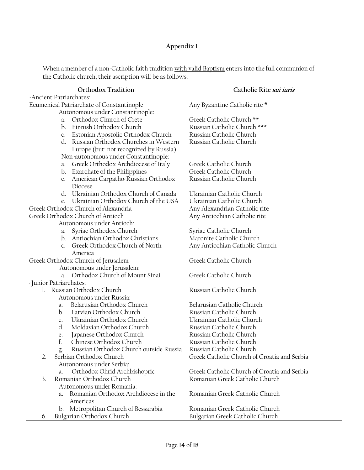# **Appendix 1**

When a member of a non-Catholic faith tradition <u>with valid Baptism</u> enters into the full communion of the Catholic church, their ascription will be as follows:

| Orthodox Tradition                                                  | Catholic Rite sui iuris                     |
|---------------------------------------------------------------------|---------------------------------------------|
| -Ancient Patriarchates:                                             |                                             |
| Ecumenical Patriarchate of Constantinople                           | Any Byzantine Catholic rite *               |
| Autonomous under Constantinople:                                    |                                             |
| Orthodox Church of Crete<br>a.                                      | Greek Catholic Church **                    |
| Finnish Orthodox Church<br>$\mathbf{b}$ .                           | Russian Catholic Church ***                 |
| Estonian Apostolic Orthodox Church<br>C.                            | Russian Catholic Church                     |
| Russian Orthodox Churches in Western<br>d.                          | Russian Catholic Church                     |
| Europe (but: not recognized by Russia)                              |                                             |
| Non-autonomous under Constantinople:                                |                                             |
| Greek Orthodox Archdiocese of Italy<br>a.                           | Greek Catholic Church                       |
| b. Exarchate of the Philippines                                     | Greek Catholic Church                       |
| c. American Carpatho-Russian Orthodox                               | Russian Catholic Church                     |
| Diocese                                                             |                                             |
| d. Ukrainian Orthodox Church of Canada                              | Ukrainian Catholic Church                   |
| Ukrainian Orthodox Church of the USA                                | Ukrainian Catholic Church                   |
| Greek Orthodox Church of Alexandria                                 | Any Alexandrian Catholic rite               |
| Greek Orthodox Church of Antioch                                    | Any Antiochian Catholic rite                |
| Autonomous under Antioch:                                           |                                             |
| Syriac Orthodox Church<br>а.                                        | Syriac Catholic Church                      |
| b. Antiochian Orthodox Christians<br>Greek Orthodox Church of North | Maronite Catholic Church                    |
| C <sub>1</sub><br>America                                           | Any Antiochian Catholic Church              |
| Greek Orthodox Church of Jerusalem                                  | Greek Catholic Church                       |
| Autonomous under Jerusalem:                                         |                                             |
| a. Orthodox Church of Mount Sinai                                   | Greek Catholic Church                       |
| -Junior Patriarchates:                                              |                                             |
| 1. Russian Orthodox Church                                          | Russian Catholic Church                     |
| Autonomous under Russia:                                            |                                             |
| Belarusian Orthodox Church<br>a.                                    | Belarusian Catholic Church                  |
| Latvian Orthodox Church<br>b.                                       | Russian Catholic Church                     |
| Ukrainian Orthodox Church<br>C.                                     | Ukrainian Catholic Church                   |
| Moldavian Orthodox Church<br>d.                                     | Russian Catholic Church                     |
| Japanese Orthodox Church<br>e.                                      | Russian Catholic Church                     |
| f.<br>Chinese Orthodox Church                                       | Russian Catholic Church                     |
| Russian Orthodox Church outside Russia                              | Russian Catholic Church                     |
| Serbian Orthodox Church<br>2.                                       | Greek Catholic Church of Croatia and Serbia |
| Autonomous under Serbia:                                            |                                             |
| Orthodox Ohrid Archbishopric<br>a.                                  | Greek Catholic Church of Croatia and Serbia |
| Romanian Orthodox Church<br>3.                                      | Romanian Greek Catholic Church              |
| Autonomous under Romania:                                           |                                             |
| Romanian Orthodox Archdiocese in the<br>a.                          | Romanian Greek Catholic Church              |
| Americas                                                            |                                             |
| b. Metropolitan Church of Bessarabia                                | Romanian Greek Catholic Church              |
| Bulgarian Orthodox Church<br>6.                                     | Bulgarian Greek Catholic Church             |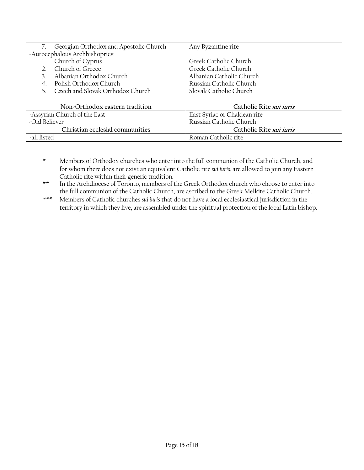| Georgian Orthodox and Apostolic Church          | Any Byzantine rite           |
|-------------------------------------------------|------------------------------|
| -Autocephalous Archbishoprics:                  |                              |
| Church of Cyprus                                | Greek Catholic Church        |
| Church of Greece                                | Greek Catholic Church        |
| Albanian Orthodox Church                        | Albanian Catholic Church     |
| Polish Orthodox Church                          | Russian Catholic Church      |
| Czech and Slovak Orthodox Church<br>$5^{\circ}$ | Slovak Catholic Church       |
|                                                 |                              |
| Non-Orthodox eastern tradition                  | Catholic Rite sui iuris      |
| -Assyrian Church of the East                    | East Syriac or Chaldean rite |
| -Old Believer                                   | Russian Catholic Church      |
| Christian ecclesial communities                 | Catholic Rite sui iuris      |
| -all listed                                     | Roman Catholic rite          |

\* Members of Orthodox churches who enter into the full communion of the Catholic Church, and for whom there does not exist an equivalent Catholic rite *sui iuris*, are allowed to join any Eastern Catholic rite within their generic tradition.

\*\* In the Archdiocese of Toronto, members of the Greek Orthodox church who choose to enter into the full communion of the Catholic Church, are ascribed to the Greek Melkite Catholic Church.

\*\*\* Members of Catholic churches *sui iuris* that do not have a local ecclesiastical jurisdiction in the territory in which they live, are assembled under the spiritual protection of the local Latin bishop.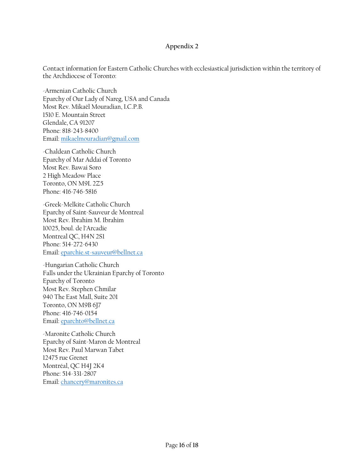# **Appendix 2**

Contact information for Eastern Catholic Churches with ecclesiastical jurisdiction within the territory of the Archdiocese of Toronto:

-Armenian Catholic Church Eparchy of Our Lady of Nareg, USA and Canada Most Rev. Mikaël Mouradian, I.C.P.B. 1510 E. Mountain Street Glendale, CA 91207 Phone: 818-243-8400 Email[: mikaelmouradian@gmail.com](mailto:mikaelmouradian@gmail.com)

-Chaldean Catholic Church Eparchy of Mar Addai of Toronto Most Rev. Bawai Soro 2 High Meadow Place Toronto, ON M9L 2Z5 Phone: 416-746-5816

-Greek-Melkite Catholic Church Eparchy of Saint-Sauveur de Montreal Most Rev. Ibrahim M. Ibrahim 10025, boul. de l'Arcadie Montreal QC, H4N 2S1 Phone: 514-272-6430 Email[: eparchie.st-sauveur@bellnet.ca](mailto:eparchie.st-sauveur@bellnet.ca)

-Hungarian Catholic Church Falls under the Ukrainian Eparchy of Toronto Eparchy of Toronto Most Rev. Stephen Chmilar 940 The East Mall, Suite 201 Toronto, ON M9B 6J7 Phone: 416-746-0154 Email[: eparchto@bellnet.ca](mailto:eparchto@bellnet.ca)

-Maronite Catholic Church Eparchy of Saint-Maron de Montreal Most Rev. Paul Marwan Tabet 12475 rue Grenet Montréal, QC H4J 2K4 Phone: 514-331-2807 Email[: chancery@maronites.ca](mailto:chancery@maronites.ca)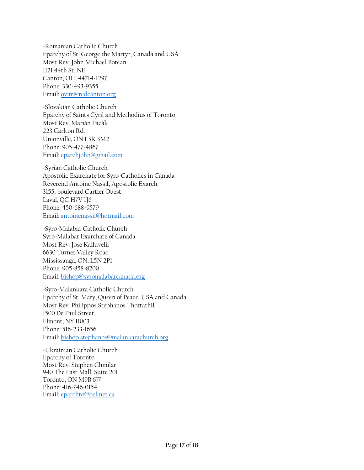-Romanian Catholic Church Eparchy of St. George the Martyr, Canada and USA Most Rev. John Michael Botean 1121 44th St. NE Canton, OH, 44714-1297 Phone: 330-493-9355 Email[: ovim@rcdcanton.org](mailto:ovim@rcdcanton.org)

-Slovakian Catholic Church Eparchy of Saints Cyril and Methodius of Toronto Most Rev. Marián Pacák 223 Carlton Rd. Unionville, ON L3R 3M2 Phone: 905-477-4867 Email[: eparchjohn@gmail.com](mailto:eparchjohn@gmail.com)

-Syrian Catholic Church Apostolic Exarchate for Syro-Catholics in Canada Reverend Antoine Nassif, Apostolic Exarch 3155, boulevard Cartier Ouest Laval, QC H7V 1J6 Phone: 450-688-9579 Email[: antoinenassif@hotmail.com](mailto:antoinenassif@hotmail.com)

-Syro-Malabar Catholic Church Syro-Malabar Exarchate of Canada Most Rev. Jose Kalluvelil 6630 Turner Valley Road Mississauga, ON, L5N 2P1 Phone: 905-858-8200 Email[: bishop@syromalabarcanada.org](mailto:bishop@syromalabarcanada.org)

-Syro-Malankara Catholic Church Eparchy of St. Mary, Queen of Peace, USA and Canada Most Rev. Philippos Stephanos Thottathil 1500 De Paul Street Elmont, NY 11003 Phone: 516-233-1656 Email[: bishop.stephanos@malankarachurch.org](mailto:bishop.stephanos@malankarachurch.org)

-Ukrainian Catholic Church Eparchy of Toronto Most Rev. Stephen Chmilar 940 The East Mall, Suite 201 Toronto, ON M9B 6J7 Phone: 416-746-0154 Email[: eparchto@bellnet.ca](mailto:eparchto@bellnet.ca)